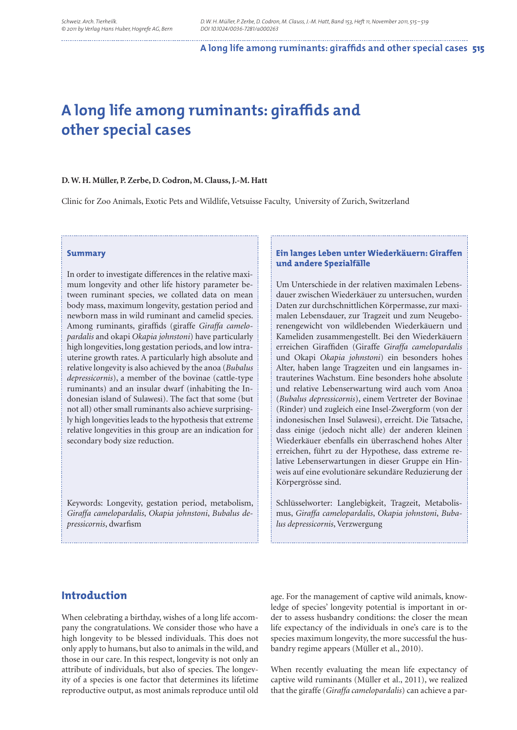#### A long life among ruminants: giraffids and other special cases 515

# A long life among ruminants: giraffids and **other special cases**

#### **D. W. H. Müller, P. Zerbe, D. Codron, M. Clauss, J.-M. Hatt**

Clinic for Zoo Animals, Exotic Pets and Wildlife, Vetsuisse Faculty, University of Zurich, Switzerland

#### **Summary**

In order to investigate differences in the relative maximum longevity and other life history parameter between ruminant species, we collated data on mean body mass, maximum longevity, gestation period and newborn mass in wild ruminant and camelid species. Among ruminants, giraffids (giraffe Giraffa camelo*pardalis* and okapi *Okapia johnstoni*) have particularly high longevities, long gestation periods, and low intrauterine growth rates. A particularly high absolute and relative longevity is also achieved by the anoa (*Bubalus depressicornis*), a member of the bovinae (cattle-type ruminants) and an insular dwarf (inhabiting the Indonesian island of Sulawesi). The fact that some (but not all) other small ruminants also achieve surprisingly high longevities leads to the hypothesis that extreme relative longevities in this group are an indication for secondary body size reduction.

Keywords: Longevity, gestation period, metabolism, *Giraffa camelopardalis*, *Okapia johnstoni*, *Bubalus depressicornis*, dwarfism

### **Ein langes Leben unter Wiederkäuern: Giraffen und andere Spezialfälle**

Um Unterschiede in der relativen maximalen Lebensdauer zwischen Wiederkäuer zu untersuchen, wurden Daten zur durchschnittlichen Körpermasse, zur maximalen Lebensdauer, zur Tragzeit und zum Neugeborenengewicht von wildlebenden Wiederkäuern und Kameliden zusammengestellt. Bei den Wiederkäuern erreichen Giraffiden (Giraffe Giraffa camelopardalis und Okapi *Okapia johnstoni*) ein besonders hohes Alter, haben lange Tragzeiten und ein langsames intrauterines Wachstum. Eine besonders hohe absolute und relative Lebenserwartung wird auch vom Anoa (*Bubalus depressicornis*), einem Vertreter der Bovinae (Rinder) und zugleich eine Insel-Zwergform (von der indonesischen Insel Sulawesi), erreicht. Die Tatsache, dass einige (jedoch nicht alle) der anderen kleinen Wiederkäuer ebenfalls ein überraschend hohes Alter erreichen, führt zu der Hypothese, dass extreme relative Lebenserwartungen in dieser Gruppe ein Hinweis auf eine evolutionäre sekundäre Reduzierung der Körpergrösse sind.

Schlüsselworter: Langlebigkeit, Tragzeit, Metabolismus, *Giraffa camelopardalis*, *Okapia johnstoni*, *Bubalus depressicornis*, Verzwergung

### **Introduction**

When celebrating a birthday, wishes of a long life accompany the congratulations. We consider those who have a high longevity to be blessed individuals. This does not only apply to humans, but also to animals in the wild, and those in our care. In this respect, longevity is not only an attribute of individuals, but also of species. The longevity of a species is one factor that determines its lifetime reproductive output, as most animals reproduce until old

age. For the management of captive wild animals, knowledge of species' longevity potential is important in order to assess husbandry conditions: the closer the mean life expectancy of the individuals in one's care is to the species maximum longevity, the more successful the husbandry regime appears (Müller et al., 2010).

When recently evaluating the mean life expectancy of captive wild ruminants (Müller et al., 2011), we realized that the giraffe (*Giraffa camelopardalis*) can achieve a par-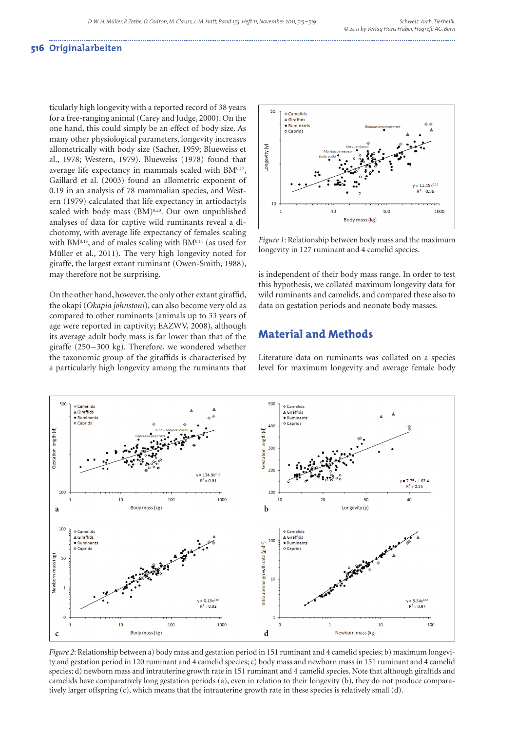### **516 Originalarbeiten**

ticularly high longevity with a reported record of 38 years for a free-ranging animal (Carey and Judge, 2000). On the one hand, this could simply be an effect of body size. As many other physiological parameters, longevity increases allometrically with body size (Sacher, 1959; Blueweiss et al., 1978; Western, 1979). Blueweiss (1978) found that average life expectancy in mammals scaled with BM0.17, Gaillard et al. (2003) found an allometric exponent of 0.19 in an analysis of 78 mammalian species, and Western (1979) calculated that life expectancy in artiodactyls scaled with body mass (BM)<sup>0.20</sup>. Our own unpublished analyses of data for captive wild ruminants reveal a dichotomy, with average life expectancy of females scaling with BM $0.15$ , and of males scaling with BM $0.11$  (as used for Müller et al., 2011). The very high longevity noted for giraffe, the largest extant ruminant (Owen-Smith, 1988), may therefore not be surprising.

On the other hand, however, the only other extant giraffid, the okapi (*Okapia johnstoni*), can also become very old as compared to other ruminants (animals up to 33 years of age were reported in captivity; EAZWV, 2008), although its average adult body mass is far lower than that of the giraffe (250 – 300 kg). Therefore, we wondered whether the taxonomic group of the giraffids is characterised by a particularly high longevity among the ruminants that



*Figure 1*: Relationship between body mass and the maximum longevity in 127 ruminant and 4 camelid species.

is independent of their body mass range. In order to test this hypothesis, we collated maximum longevity data for wild ruminants and camelids, and compared these also to data on gestation periods and neonate body masses.

### **Material and Methods**

Literature data on ruminants was collated on a species level for maximum longevity and average female body



*Figure 2*: Relationship between a) body mass and gestation period in 151 ruminant and 4 camelid species; b) maximum longevity and gestation period in 120 ruminant and 4 camelid species; c) body mass and newborn mass in 151 ruminant and 4 camelid species; d) newborn mass and intrauterine growth rate in 151 ruminant and 4 camelid species. Note that although giraffids and camelids have comparatively long gestation periods (a), even in relation to their longevity (b), they do not produce comparatively larger offspring (c), which means that the intrauterine growth rate in these species is relatively small (d).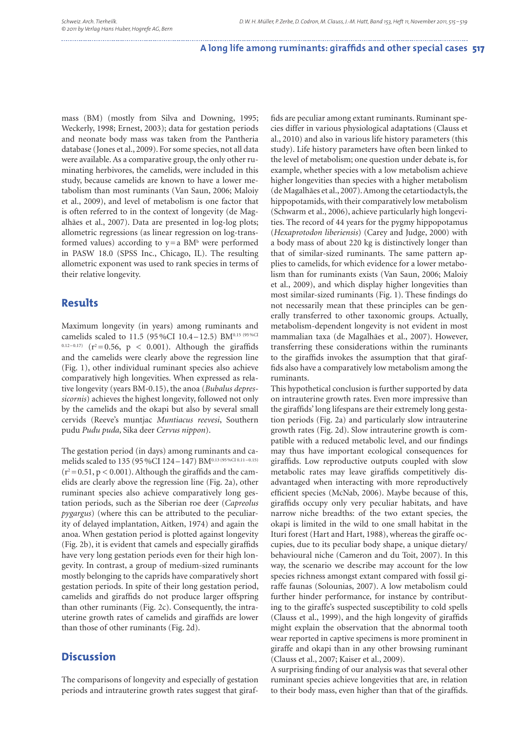#### A long life among ruminants: giraffids and other special cases 517

mass (BM) (mostly from Silva and Downing, 1995; Weckerly, 1998; Ernest, 2003); data for gestation periods and neonate body mass was taken from the Pantheria database (Jones et al., 2009). For some species, not all data were available. As a comparative group, the only other ruminating herbivores, the camelids, were included in this study, because camelids are known to have a lower metabolism than most ruminants (Van Saun, 2006; Maloiy et al., 2009), and level of metabolism is one factor that is often referred to in the context of longevity (de Magalhães et al., 2007). Data are presented in log-log plots; allometric regressions (as linear regression on log-transformed values) according to  $y = a$  BM<sup>b</sup> were performed in PASW 18.0 (SPSS Inc., Chicago, IL). The resulting allometric exponent was used to rank species in terms of their relative longevity.

### **Results**

Maximum longevity (in years) among ruminants and camelids scaled to 11.5 (95%CI 10.4-12.5) BM0.15 (95%CI  $(12-0.17)$   $(r^2=0.56, p < 0.001)$ . Although the giraffids and the camelids were clearly above the regression line (Fig. 1), other individual ruminant species also achieve comparatively high longevities. When expressed as relative longevity (years BM-0.15), the anoa (*Bubalus depressicornis*) achieves the highest longevity, followed not only by the camelids and the okapi but also by several small cervids (Reeve's muntjac *Muntiacus reevesi*, Southern pudu *Pudu puda*, Sika deer *Cervus nippon*).

The gestation period (in days) among ruminants and camelids scaled to 135 (95 %CI 124-147) BM0.13 (95 %CI 0.11-0.15)  $(r^2=0.51, p < 0.001)$ . Although the giraffids and the camelids are clearly above the regression line (Fig. 2a), other ruminant species also achieve comparatively long gestation periods, such as the Siberian roe deer (*Capreolus pygargus*) (where this can be attributed to the peculiarity of delayed implantation, Aitken, 1974) and again the anoa. When gestation period is plotted against longevity (Fig. 2b), it is evident that camels and especially giraffids have very long gestation periods even for their high longevity. In contrast, a group of medium-sized ruminants mostly belonging to the caprids have comparatively short gestation periods. In spite of their long gestation period, camelids and giraffids do not produce larger offspring than other ruminants (Fig. 2c). Consequently, the intrauterine growth rates of camelids and giraffids are lower than those of other ruminants (Fig. 2d).

## **Discussion**

The comparisons of longevity and especially of gestation periods and intrauterine growth rates suggest that giraffids are peculiar among extant ruminants. Ruminant species differ in various physiological adaptations (Clauss et al., 2010) and also in various life history parameters (this study). Life history parameters have often been linked to the level of metabolism; one question under debate is, for example, whether species with a low metabolism achieve higher longevities than species with a higher metabolism (de Magalhães et al., 2007). Among the cetartiodactyls, the hippopotamids, with their comparatively low metabolism (Schwarm et al., 2006), achieve particularly high longevities. The record of 44 years for the pygmy hippopotamus (*Hexaprotodon liberiensis*) (Carey and Judge, 2000) with a body mass of about 220 kg is distinctively longer than that of similar-sized ruminants. The same pattern applies to camelids, for which evidence for a lower metabolism than for ruminants exists (Van Saun, 2006; Maloiy et al., 2009), and which display higher longevities than most similar-sized ruminants (Fig. 1). These findings do not necessarily mean that these principles can be generally transferred to other taxonomic groups. Actually, meta bolism-dependent longevity is not evident in most mammalian taxa (de Magalhães et al., 2007). However, transferring these considerations within the ruminants to the giraffids invokes the assumption that that giraffids also have a comparatively low metabolism among the ruminants.

This hypothetical conclusion is further supported by data on intrauterine growth rates. Even more impressive than the giraffids' long lifespans are their extremely long gestation periods (Fig. 2a) and particularly slow intrauterine growth rates (Fig. 2d). Slow intrauterine growth is compatible with a reduced metabolic level, and our findings may thus have important ecological consequences for giraffids. Low reproductive outputs coupled with slow metabolic rates may leave giraffids competitively disadvantaged when interacting with more reproductively efficient species (McNab, 2006). Maybe because of this, giraffids occupy only very peculiar habitats, and have narrow niche breadths: of the two extant species, the okapi is limited in the wild to one small habitat in the Ituri forest (Hart and Hart, 1988), whereas the giraffe occupies, due to its peculiar body shape, a unique dietary/ behavioural niche (Cameron and du Toit, 2007). In this way, the scenario we describe may account for the low species richness amongst extant compared with fossil giraffe faunas (Solounias, 2007). A low metabolism could further hinder performance, for instance by contributing to the giraffe's suspected susceptibility to cold spells (Clauss et al., 1999), and the high longevity of giraffids might explain the observation that the abnormal tooth wear reported in captive specimens is more prominent in giraffe and okapi than in any other browsing ruminant (Clauss et al., 2007; Kaiser et al., 2009).

A surprising finding of our analysis was that several other ruminant species achieve longevities that are, in relation to their body mass, even higher than that of the giraffids.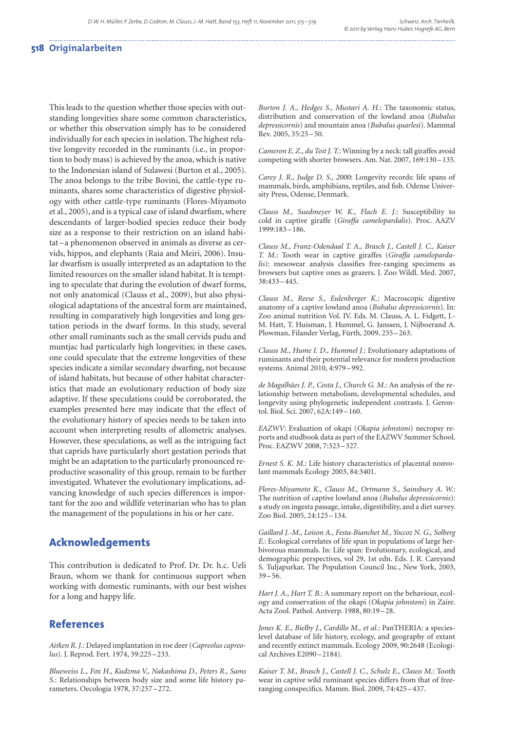#### **518 Originalarbeiten**

This leads to the question whether those species with outstanding longevities share some common characteristics, or whether this observation simply has to be considered individually for each species in isolation. The highest relative longevity recorded in the ruminants (i.e., in proportion to body mass) is achieved by the anoa, which is native to the Indonesian island of Sulawesi (Burton et al., 2005). The anoa belongs to the tribe Bovini, the cattle-type ruminants, shares some characteristics of digestive physiology with other cattle-type ruminants (Flores-Miyamoto et al., 2005), and is a typical case of island dwarfism, where descendants of larger-bodied species reduce their body size as a response to their restriction on an island habitat – a phenomenon observed in animals as diverse as cervids, hippos, and elephants (Raia and Meiri, 2006). Insular dwarfism is usually interpreted as an adaptation to the limited resources on the smaller island habitat. It is tempting to speculate that during the evolution of dwarf forms, not only anatomical (Clauss et al., 2009), but also physiological adaptations of the ancestral form are maintained, resulting in comparatively high longevities and long gestation periods in the dwarf forms. In this study, several other small ruminants such as the small cervids pudu and muntjac had particularly high longevities; in these cases, one could speculate that the extreme longevities of these species indicate a similar secondary dwarfing, not because of island habitats, but because of other habitat characteristics that made an evolutionary reduction of body size adaptive. If these speculations could be corroborated, the examples presented here may indicate that the effect of the evolutionary history of species needs to be taken into account when interpreting results of allometric analyses. However, these speculations, as well as the intriguing fact that caprids have particularly short gestation periods that might be an adaptation to the particularly pronounced reproductive seasonality of this group, remain to be further investigated. Whatever the evolutionary implications, advancing knowledge of such species differences is important for the zoo and wildlife veterinarian who has to plan the management of the populations in his or her care.

### **Acknowledgements**

This contribution is dedicated to Prof. Dr. Dr. h.c. Ueli Braun, whom we thank for continuous support when working with domestic ruminants, with our best wishes for a long and happy life.

### **References**

*Aitken R. J.*: Delayed implantation in roe deer (*Capreolus capreolus*). J. Reprod. Fert. 1974, 39:225 – 233.

*Blueweiss L., Fox H., Kudzma V., Nakashima D., Peters R., Sams S.*: Relationships between body size and some life history parameters. Oecologia 1978, 37:257 – 272.

*Burton J. A., Hedges S., Mustari A. H.*: The taxonomic status, distribution and conservation of the lowland anoa (*Bubalus depressicornis*) and mountain anoa (*Bubalus quarlesi*). Mammal Rev. 2005, 35:25 – 50.

*Cameron E. Z., du Toit J. T.*: Winning by a neck: tall giraffes avoid competing with shorter browsers. Am. Nat. 2007, 169:130 – 135.

*Carey J. R., Judge D. S., 2000*: Longevity records: life spans of mammals, birds, amphibians, reptiles, and fish. Odense University Press, Odense, Denmark.

*Clauss M., Suedmeyer W. K., Flach E. J.*: Susceptibility to cold in captive giraffe (*Giraffa camelopardalis*). Proc. AAZV 1999:183 – 186.

*Clauss M., Franz-Odendaal T. A., Brasch J., Castell J. C., Kaiser T. M.*: Tooth wear in captive giraffes (*Giraffa camelopardalis*): mesowear analysis classifies free-ranging specimens as browsers but captive ones as grazers. J. Zoo Wildl. Med. 2007, 38:433 – 445.

*Clauss M., Reese S., Eulenberger K.*: Macroscopic digestive anatomy of a captive lowland anoa (*Bubalus depressicornis*). In: Zoo animal nutrition Vol. IV. Eds. M. Clauss, A. L. Fidgett, J.- M. Hatt, T. Huisman, J. Hummel, G. Janssen, J. Nijboerand A. Plowman, Filander Verlag, Fürth, 2009, 255 – 263.

*Clauss M., Hume I. D., Hummel J.*: Evolutionary adaptations of ruminants and their potential relevance for modern production systems. Animal 2010, 4:979 – 992.

*de Magalhães J. P., Costa J., Church G. M.*: An analysis of the relationship between metabolism, developmental schedules, and longevity using phylogenetic independent contrasts. J. Gerontol. Biol. Sci. 2007, 62A:149 – 160.

*EAZWV*: Evaluation of okapi (*Okapia johnstoni*) necropsy reports and studbook data as part of the EAZWV Summer School. Proc. EAZWV 2008, 7:323 – 327.

*Ernest S. K. M.*: Life history characteristics of placental nonvolant mammals Ecology 2003, 84:3401.

*Flores-Miyamoto K., Clauss M., Ortmann S., Sainsbury A. W.*: The nutrition of captive lowland anoa (*Bubalus depressicornis*): a study on ingesta passage, intake, digestibility, and a diet survey. Zoo Biol. 2005, 24:125 – 134.

*Gaillard J.-M., Loison A., Festa-Bianchet M., Yoccoz N. G., Solberg E.*: Ecological correlates of life span in populations of large herbivorous mammals. In: Life span: Evolutionary, ecological, and demographic perspectives, vol 29, 1st edn. Eds. J. R. Careyand S. Tuljapurkar, The Population Council Inc., New York, 2003,  $39 - 56.$ 

*Hart J. A., Hart T. B.*: A summary report on the behaviour, ecology and conservation of the okapi (*Okapia johnstoni*) in Zaire. Acta Zool. Pathol. Antverp. 1988, 80:19-28.

*Jones K. E., Bielby J., Cardillo M., et al.*: PanTHERIA: a specieslevel database of life history, ecology, and geography of extant and recently extinct mammals. Ecology 2009, 90:2648 (Ecological Archives E2090 – 2184).

*Kaiser T. M., Brasch J., Castell J. C., Schulz E., Clauss M.*: Tooth wear in captive wild ruminant species differs from that of freeranging conspecifics. Mamm. Biol. 2009,  $74:425 - 437$ .